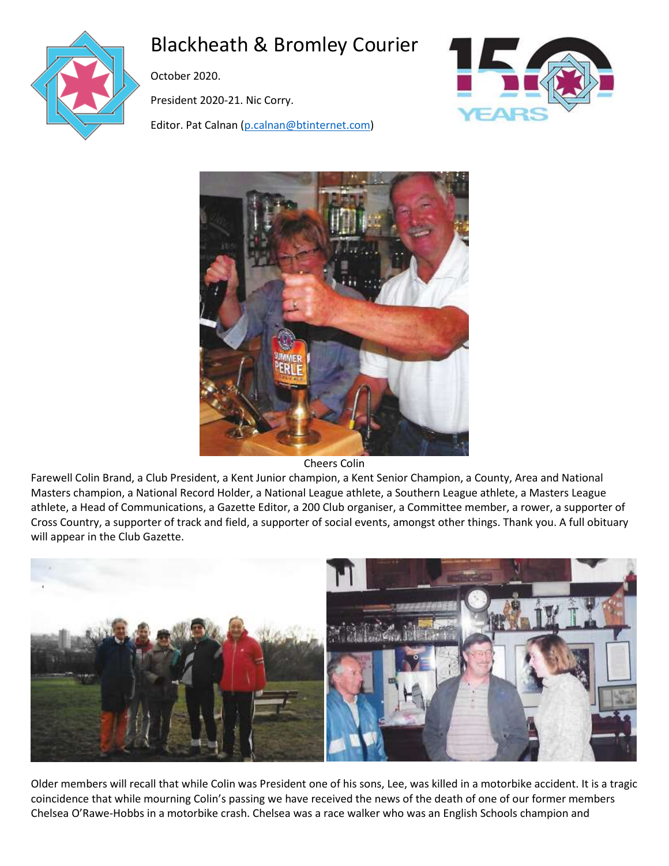

# Blackheath & Bromley Courier

October 2020.

President 2020-21. Nic Corry.

Editor. Pat Calnan [\(p.calnan@btinternet.com\)](mailto:p.calnan@btinternet.com)





Cheers Colin

Farewell Colin Brand, a Club President, a Kent Junior champion, a Kent Senior Champion, a County, Area and National Masters champion, a National Record Holder, a National League athlete, a Southern League athlete, a Masters League athlete, a Head of Communications, a Gazette Editor, a 200 Club organiser, a Committee member, a rower, a supporter of Cross Country, a supporter of track and field, a supporter of social events, amongst other things. Thank you. A full obituary will appear in the Club Gazette.



Older members will recall that while Colin was President one of his sons, Lee, was killed in a motorbike accident. It is a tragic coincidence that while mourning Colin's passing we have received the news of the death of one of our former members Chelsea O'Rawe-Hobbs in a motorbike crash. Chelsea was a race walker who was an English Schools champion and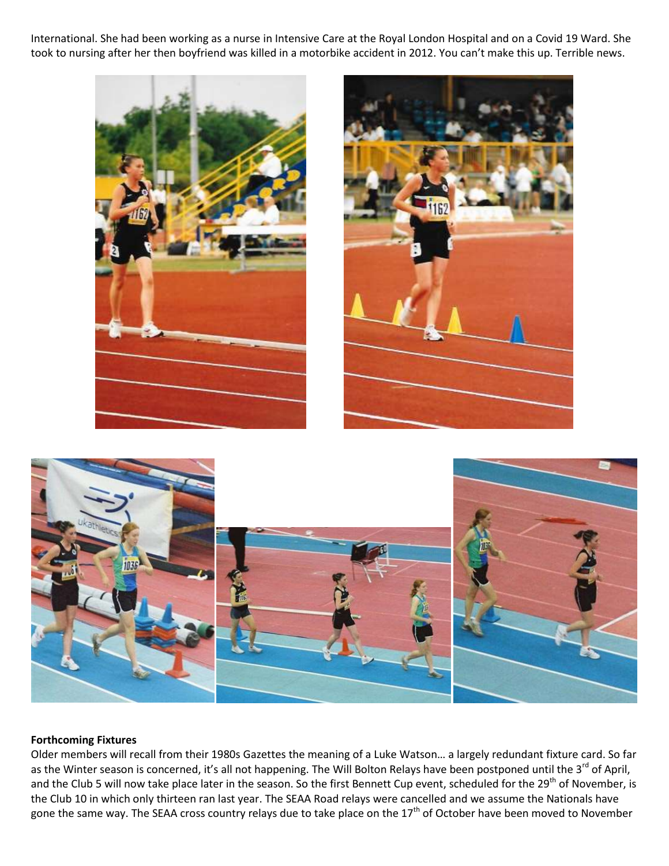International. She had been working as a nurse in Intensive Care at the Royal London Hospital and on a Covid 19 Ward. She took to nursing after her then boyfriend was killed in a motorbike accident in 2012. You can't make this up. Terrible news.



### **Forthcoming Fixtures**

Older members will recall from their 1980s Gazettes the meaning of a Luke Watson… a largely redundant fixture card. So far as the Winter season is concerned, it's all not happening. The Will Bolton Relays have been postponed until the 3<sup>rd</sup> of April, and the Club 5 will now take place later in the season. So the first Bennett Cup event, scheduled for the 29<sup>th</sup> of November, is the Club 10 in which only thirteen ran last year. The SEAA Road relays were cancelled and we assume the Nationals have gone the same way. The SEAA cross country relays due to take place on the 17<sup>th</sup> of October have been moved to November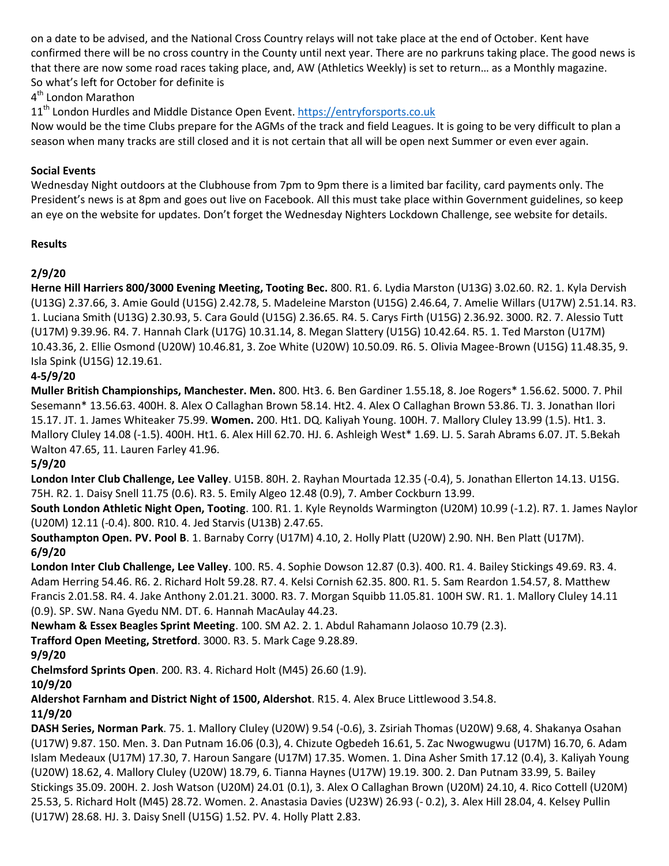on a date to be advised, and the National Cross Country relays will not take place at the end of October. Kent have confirmed there will be no cross country in the County until next year. There are no parkruns taking place. The good news is that there are now some road races taking place, and, AW (Athletics Weekly) is set to return… as a Monthly magazine. So what's left for October for definite is

4<sup>th</sup> London Marathon

11<sup>th</sup> London Hurdles and Middle Distance Open Event[. https://entryforsports.co.uk](https://entryforsports.co.uk/)

Now would be the time Clubs prepare for the AGMs of the track and field Leagues. It is going to be very difficult to plan a season when many tracks are still closed and it is not certain that all will be open next Summer or even ever again.

### **Social Events**

Wednesday Night outdoors at the Clubhouse from 7pm to 9pm there is a limited bar facility, card payments only. The President's news is at 8pm and goes out live on Facebook. All this must take place within Government guidelines, so keep an eye on the website for updates. Don't forget the Wednesday Nighters Lockdown Challenge, see website for details.

### **Results**

# **2/9/20**

**Herne Hill Harriers 800/3000 Evening Meeting, Tooting Bec.** 800. R1. 6. Lydia Marston (U13G) 3.02.60. R2. 1. Kyla Dervish (U13G) 2.37.66, 3. Amie Gould (U15G) 2.42.78, 5. Madeleine Marston (U15G) 2.46.64, 7. Amelie Willars (U17W) 2.51.14. R3. 1. Luciana Smith (U13G) 2.30.93, 5. Cara Gould (U15G) 2.36.65. R4. 5. Carys Firth (U15G) 2.36.92. 3000. R2. 7. Alessio Tutt (U17M) 9.39.96. R4. 7. Hannah Clark (U17G) 10.31.14, 8. Megan Slattery (U15G) 10.42.64. R5. 1. Ted Marston (U17M) 10.43.36, 2. Ellie Osmond (U20W) 10.46.81, 3. Zoe White (U20W) 10.50.09. R6. 5. Olivia Magee-Brown (U15G) 11.48.35, 9. Isla Spink (U15G) 12.19.61.

# **4-5/9/20**

**Muller British Championships, Manchester. Men.** 800. Ht3. 6. Ben Gardiner 1.55.18, 8. Joe Rogers\* 1.56.62. 5000. 7. Phil Sesemann\* 13.56.63. 400H. 8. Alex O Callaghan Brown 58.14. Ht2. 4. Alex O Callaghan Brown 53.86. TJ. 3. Jonathan Ilori 15.17. JT. 1. James Whiteaker 75.99. **Women.** 200. Ht1. DQ. Kaliyah Young. 100H. 7. Mallory Cluley 13.99 (1.5). Ht1. 3. Mallory Cluley 14.08 (-1.5). 400H. Ht1. 6. Alex Hill 62.70. HJ. 6. Ashleigh West\* 1.69. LJ. 5. Sarah Abrams 6.07. JT. 5.Bekah Walton 47.65, 11. Lauren Farley 41.96.

# **5/9/20**

**London Inter Club Challenge, Lee Valley**. U15B. 80H. 2. Rayhan Mourtada 12.35 (-0.4), 5. Jonathan Ellerton 14.13. U15G. 75H. R2. 1. Daisy Snell 11.75 (0.6). R3. 5. Emily Algeo 12.48 (0.9), 7. Amber Cockburn 13.99.

**South London Athletic Night Open, Tooting**. 100. R1. 1. Kyle Reynolds Warmington (U20M) 10.99 (-1.2). R7. 1. James Naylor (U20M) 12.11 (-0.4). 800. R10. 4. Jed Starvis (U13B) 2.47.65.

**Southampton Open. PV. Pool B**. 1. Barnaby Corry (U17M) 4.10, 2. Holly Platt (U20W) 2.90. NH. Ben Platt (U17M). **6/9/20**

**London Inter Club Challenge, Lee Valley**. 100. R5. 4. Sophie Dowson 12.87 (0.3). 400. R1. 4. Bailey Stickings 49.69. R3. 4. Adam Herring 54.46. R6. 2. Richard Holt 59.28. R7. 4. Kelsi Cornish 62.35. 800. R1. 5. Sam Reardon 1.54.57, 8. Matthew Francis 2.01.58. R4. 4. Jake Anthony 2.01.21. 3000. R3. 7. Morgan Squibb 11.05.81. 100H SW. R1. 1. Mallory Cluley 14.11 (0.9). SP. SW. Nana Gyedu NM. DT. 6. Hannah MacAulay 44.23.

**Newham & Essex Beagles Sprint Meeting**. 100. SM A2. 2. 1. Abdul Rahamann Jolaoso 10.79 (2.3).

**Trafford Open Meeting, Stretford**. 3000. R3. 5. Mark Cage 9.28.89.

# **9/9/20**

**Chelmsford Sprints Open**. 200. R3. 4. Richard Holt (M45) 26.60 (1.9).

**10/9/20**

**Aldershot Farnham and District Night of 1500, Aldershot**. R15. 4. Alex Bruce Littlewood 3.54.8.

# **11/9/20**

**DASH Series, Norman Park**. 75. 1. Mallory Cluley (U20W) 9.54 (-0.6), 3. Zsiriah Thomas (U20W) 9.68, 4. Shakanya Osahan (U17W) 9.87. 150. Men. 3. Dan Putnam 16.06 (0.3), 4. Chizute Ogbedeh 16.61, 5. Zac Nwogwugwu (U17M) 16.70, 6. Adam Islam Medeaux (U17M) 17.30, 7. Haroun Sangare (U17M) 17.35. Women. 1. Dina Asher Smith 17.12 (0.4), 3. Kaliyah Young (U20W) 18.62, 4. Mallory Cluley (U20W) 18.79, 6. Tianna Haynes (U17W) 19.19. 300. 2. Dan Putnam 33.99, 5. Bailey Stickings 35.09. 200H. 2. Josh Watson (U20M) 24.01 (0.1), 3. Alex O Callaghan Brown (U20M) 24.10, 4. Rico Cottell (U20M) 25.53, 5. Richard Holt (M45) 28.72. Women. 2. Anastasia Davies (U23W) 26.93 (- 0.2), 3. Alex Hill 28.04, 4. Kelsey Pullin (U17W) 28.68. HJ. 3. Daisy Snell (U15G) 1.52. PV. 4. Holly Platt 2.83.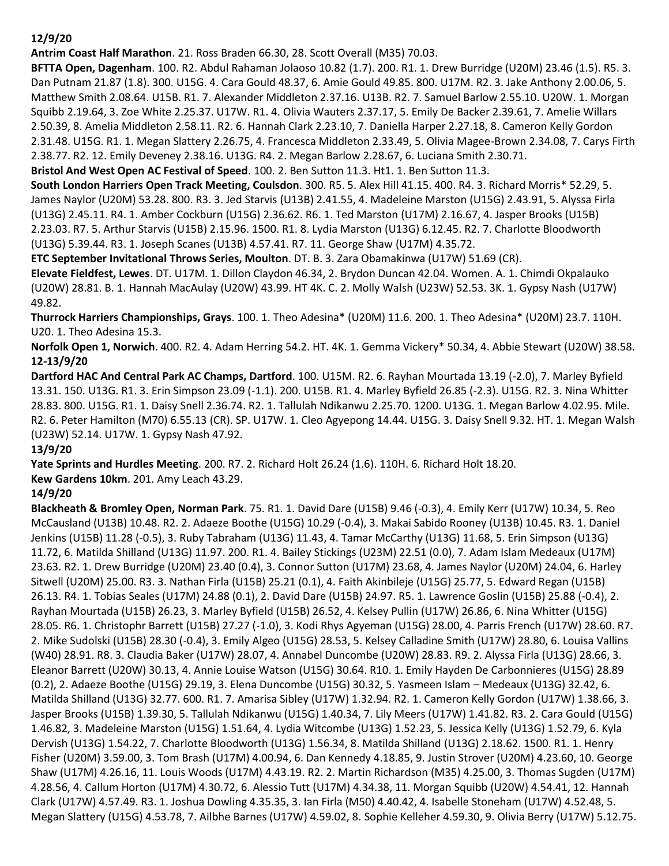# **12/9/20**

**Antrim Coast Half Marathon**. 21. Ross Braden 66.30, 28. Scott Overall (M35) 70.03.

**BFTTA Open, Dagenham**. 100. R2. Abdul Rahaman Jolaoso 10.82 (1.7). 200. R1. 1. Drew Burridge (U20M) 23.46 (1.5). R5. 3. Dan Putnam 21.87 (1.8). 300. U15G. 4. Cara Gould 48.37, 6. Amie Gould 49.85. 800. U17M. R2. 3. Jake Anthony 2.00.06, 5. Matthew Smith 2.08.64. U15B. R1. 7. Alexander Middleton 2.37.16. U13B. R2. 7. Samuel Barlow 2.55.10. U20W. 1. Morgan Squibb 2.19.64, 3. Zoe White 2.25.37. U17W. R1. 4. Olivia Wauters 2.37.17, 5. Emily De Backer 2.39.61, 7. Amelie Willars 2.50.39, 8. Amelia Middleton 2.58.11. R2. 6. Hannah Clark 2.23.10, 7. Daniella Harper 2.27.18, 8. Cameron Kelly Gordon 2.31.48. U15G. R1. 1. Megan Slattery 2.26.75, 4. Francesca Middleton 2.33.49, 5. Olivia Magee-Brown 2.34.08, 7. Carys Firth 2.38.77. R2. 12. Emily Deveney 2.38.16. U13G. R4. 2. Megan Barlow 2.28.67, 6. Luciana Smith 2.30.71.

**Bristol And West Open AC Festival of Speed**. 100. 2. Ben Sutton 11.3. Ht1. 1. Ben Sutton 11.3.

**South London Harriers Open Track Meeting, Coulsdon**. 300. R5. 5. Alex Hill 41.15. 400. R4. 3. Richard Morris\* 52.29, 5. James Naylor (U20M) 53.28. 800. R3. 3. Jed Starvis (U13B) 2.41.55, 4. Madeleine Marston (U15G) 2.43.91, 5. Alyssa Firla (U13G) 2.45.11. R4. 1. Amber Cockburn (U15G) 2.36.62. R6. 1. Ted Marston (U17M) 2.16.67, 4. Jasper Brooks (U15B) 2.23.03. R7. 5. Arthur Starvis (U15B) 2.15.96. 1500. R1. 8. Lydia Marston (U13G) 6.12.45. R2. 7. Charlotte Bloodworth (U13G) 5.39.44. R3. 1. Joseph Scanes (U13B) 4.57.41. R7. 11. George Shaw (U17M) 4.35.72.

**ETC September Invitational Throws Series, Moulton**. DT. B. 3. Zara Obamakinwa (U17W) 51.69 (CR).

**Elevate Fieldfest, Lewes**. DT. U17M. 1. Dillon Claydon 46.34, 2. Brydon Duncan 42.04. Women. A. 1. Chimdi Okpalauko (U20W) 28.81. B. 1. Hannah MacAulay (U20W) 43.99. HT 4K. C. 2. Molly Walsh (U23W) 52.53. 3K. 1. Gypsy Nash (U17W) 49.82.

**Thurrock Harriers Championships, Grays**. 100. 1. Theo Adesina\* (U20M) 11.6. 200. 1. Theo Adesina\* (U20M) 23.7. 110H. U20. 1. Theo Adesina 15.3.

**Norfolk Open 1, Norwich**. 400. R2. 4. Adam Herring 54.2. HT. 4K. 1. Gemma Vickery\* 50.34, 4. Abbie Stewart (U20W) 38.58. **12-13/9/20**

**Dartford HAC And Central Park AC Champs, Dartford**. 100. U15M. R2. 6. Rayhan Mourtada 13.19 (-2.0), 7. Marley Byfield 13.31. 150. U13G. R1. 3. Erin Simpson 23.09 (-1.1). 200. U15B. R1. 4. Marley Byfield 26.85 (-2.3). U15G. R2. 3. Nina Whitter 28.83. 800. U15G. R1. 1. Daisy Snell 2.36.74. R2. 1. Tallulah Ndikanwu 2.25.70. 1200. U13G. 1. Megan Barlow 4.02.95. Mile. R2. 6. Peter Hamilton (M70) 6.55.13 (CR). SP. U17W. 1. Cleo Agyepong 14.44. U15G. 3. Daisy Snell 9.32. HT. 1. Megan Walsh (U23W) 52.14. U17W. 1. Gypsy Nash 47.92.

# **13/9/20**

**Yate Sprints and Hurdles Meeting**. 200. R7. 2. Richard Holt 26.24 (1.6). 110H. 6. Richard Holt 18.20.

**Kew Gardens 10km**. 201. Amy Leach 43.29.

# **14/9/20**

**Blackheath & Bromley Open, Norman Park**. 75. R1. 1. David Dare (U15B) 9.46 (-0.3), 4. Emily Kerr (U17W) 10.34, 5. Reo McCausland (U13B) 10.48. R2. 2. Adaeze Boothe (U15G) 10.29 (-0.4), 3. Makai Sabido Rooney (U13B) 10.45. R3. 1. Daniel Jenkins (U15B) 11.28 (-0.5), 3. Ruby Tabraham (U13G) 11.43, 4. Tamar McCarthy (U13G) 11.68, 5. Erin Simpson (U13G) 11.72, 6. Matilda Shilland (U13G) 11.97. 200. R1. 4. Bailey Stickings (U23M) 22.51 (0.0), 7. Adam Islam Medeaux (U17M) 23.63. R2. 1. Drew Burridge (U20M) 23.40 (0.4), 3. Connor Sutton (U17M) 23.68, 4. James Naylor (U20M) 24.04, 6. Harley Sitwell (U20M) 25.00. R3. 3. Nathan Firla (U15B) 25.21 (0.1), 4. Faith Akinbileje (U15G) 25.77, 5. Edward Regan (U15B) 26.13. R4. 1. Tobias Seales (U17M) 24.88 (0.1), 2. David Dare (U15B) 24.97. R5. 1. Lawrence Goslin (U15B) 25.88 (-0.4), 2. Rayhan Mourtada (U15B) 26.23, 3. Marley Byfield (U15B) 26.52, 4. Kelsey Pullin (U17W) 26.86, 6. Nina Whitter (U15G) 28.05. R6. 1. Christophr Barrett (U15B) 27.27 (-1.0), 3. Kodi Rhys Agyeman (U15G) 28.00, 4. Parris French (U17W) 28.60. R7. 2. Mike Sudolski (U15B) 28.30 (-0.4), 3. Emily Algeo (U15G) 28.53, 5. Kelsey Calladine Smith (U17W) 28.80, 6. Louisa Vallins (W40) 28.91. R8. 3. Claudia Baker (U17W) 28.07, 4. Annabel Duncombe (U20W) 28.83. R9. 2. Alyssa Firla (U13G) 28.66, 3. Eleanor Barrett (U20W) 30.13, 4. Annie Louise Watson (U15G) 30.64. R10. 1. Emily Hayden De Carbonnieres (U15G) 28.89 (0.2), 2. Adaeze Boothe (U15G) 29.19, 3. Elena Duncombe (U15G) 30.32, 5. Yasmeen Islam – Medeaux (U13G) 32.42, 6. Matilda Shilland (U13G) 32.77. 600. R1. 7. Amarisa Sibley (U17W) 1.32.94. R2. 1. Cameron Kelly Gordon (U17W) 1.38.66, 3. Jasper Brooks (U15B) 1.39.30, 5. Tallulah Ndikanwu (U15G) 1.40.34, 7. Lily Meers (U17W) 1.41.82. R3. 2. Cara Gould (U15G) 1.46.82, 3. Madeleine Marston (U15G) 1.51.64, 4. Lydia Witcombe (U13G) 1.52.23, 5. Jessica Kelly (U13G) 1.52.79, 6. Kyla Dervish (U13G) 1.54.22, 7. Charlotte Bloodworth (U13G) 1.56.34, 8. Matilda Shilland (U13G) 2.18.62. 1500. R1. 1. Henry Fisher (U20M) 3.59.00, 3. Tom Brash (U17M) 4.00.94, 6. Dan Kennedy 4.18.85, 9. Justin Strover (U20M) 4.23.60, 10. George Shaw (U17M) 4.26.16, 11. Louis Woods (U17M) 4.43.19. R2. 2. Martin Richardson (M35) 4.25.00, 3. Thomas Sugden (U17M) 4.28.56, 4. Callum Horton (U17M) 4.30.72, 6. Alessio Tutt (U17M) 4.34.38, 11. Morgan Squibb (U20W) 4.54.41, 12. Hannah Clark (U17W) 4.57.49. R3. 1. Joshua Dowling 4.35.35, 3. Ian Firla (M50) 4.40.42, 4. Isabelle Stoneham (U17W) 4.52.48, 5. Megan Slattery (U15G) 4.53.78, 7. Ailbhe Barnes (U17W) 4.59.02, 8. Sophie Kelleher 4.59.30, 9. Olivia Berry (U17W) 5.12.75.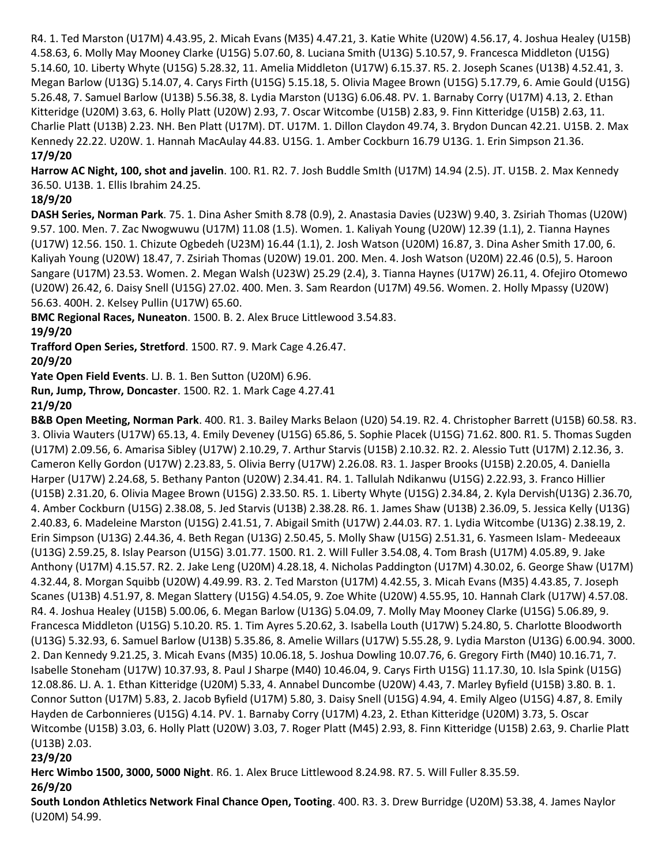R4. 1. Ted Marston (U17M) 4.43.95, 2. Micah Evans (M35) 4.47.21, 3. Katie White (U20W) 4.56.17, 4. Joshua Healey (U15B) 4.58.63, 6. Molly May Mooney Clarke (U15G) 5.07.60, 8. Luciana Smith (U13G) 5.10.57, 9. Francesca Middleton (U15G) 5.14.60, 10. Liberty Whyte (U15G) 5.28.32, 11. Amelia Middleton (U17W) 6.15.37. R5. 2. Joseph Scanes (U13B) 4.52.41, 3. Megan Barlow (U13G) 5.14.07, 4. Carys Firth (U15G) 5.15.18, 5. Olivia Magee Brown (U15G) 5.17.79, 6. Amie Gould (U15G) 5.26.48, 7. Samuel Barlow (U13B) 5.56.38, 8. Lydia Marston (U13G) 6.06.48. PV. 1. Barnaby Corry (U17M) 4.13, 2. Ethan Kitteridge (U20M) 3.63, 6. Holly Platt (U20W) 2.93, 7. Oscar Witcombe (U15B) 2.83, 9. Finn Kitteridge (U15B) 2.63, 11. Charlie Platt (U13B) 2.23. NH. Ben Platt (U17M). DT. U17M. 1. Dillon Claydon 49.74, 3. Brydon Duncan 42.21. U15B. 2. Max Kennedy 22.22. U20W. 1. Hannah MacAulay 44.83. U15G. 1. Amber Cockburn 16.79 U13G. 1. Erin Simpson 21.36. **17/9/20**

**Harrow AC Night, 100, shot and javelin**. 100. R1. R2. 7. Josh Buddle SmIth (U17M) 14.94 (2.5). JT. U15B. 2. Max Kennedy 36.50. U13B. 1. Ellis Ibrahim 24.25.

# **18/9/20**

**DASH Series, Norman Park**. 75. 1. Dina Asher Smith 8.78 (0.9), 2. Anastasia Davies (U23W) 9.40, 3. Zsiriah Thomas (U20W) 9.57. 100. Men. 7. Zac Nwogwuwu (U17M) 11.08 (1.5). Women. 1. Kaliyah Young (U20W) 12.39 (1.1), 2. Tianna Haynes (U17W) 12.56. 150. 1. Chizute Ogbedeh (U23M) 16.44 (1.1), 2. Josh Watson (U20M) 16.87, 3. Dina Asher Smith 17.00, 6. Kaliyah Young (U20W) 18.47, 7. Zsiriah Thomas (U20W) 19.01. 200. Men. 4. Josh Watson (U20M) 22.46 (0.5), 5. Haroon Sangare (U17M) 23.53. Women. 2. Megan Walsh (U23W) 25.29 (2.4), 3. Tianna Haynes (U17W) 26.11, 4. Ofejiro Otomewo (U20W) 26.42, 6. Daisy Snell (U15G) 27.02. 400. Men. 3. Sam Reardon (U17M) 49.56. Women. 2. Holly Mpassy (U20W) 56.63. 400H. 2. Kelsey Pullin (U17W) 65.60.

**BMC Regional Races, Nuneaton**. 1500. B. 2. Alex Bruce Littlewood 3.54.83.

# **19/9/20**

**Trafford Open Series, Stretford**. 1500. R7. 9. Mark Cage 4.26.47.

**20/9/20**

**Yate Open Field Events**. LJ. B. 1. Ben Sutton (U20M) 6.96.

**Run, Jump, Throw, Doncaster**. 1500. R2. 1. Mark Cage 4.27.41

**21/9/20**

**B&B Open Meeting, Norman Park**. 400. R1. 3. Bailey Marks Belaon (U20) 54.19. R2. 4. Christopher Barrett (U15B) 60.58. R3. 3. Olivia Wauters (U17W) 65.13, 4. Emily Deveney (U15G) 65.86, 5. Sophie Placek (U15G) 71.62. 800. R1. 5. Thomas Sugden (U17M) 2.09.56, 6. Amarisa Sibley (U17W) 2.10.29, 7. Arthur Starvis (U15B) 2.10.32. R2. 2. Alessio Tutt (U17M) 2.12.36, 3. Cameron Kelly Gordon (U17W) 2.23.83, 5. Olivia Berry (U17W) 2.26.08. R3. 1. Jasper Brooks (U15B) 2.20.05, 4. Daniella Harper (U17W) 2.24.68, 5. Bethany Panton (U20W) 2.34.41. R4. 1. Tallulah Ndikanwu (U15G) 2.22.93, 3. Franco Hillier (U15B) 2.31.20, 6. Olivia Magee Brown (U15G) 2.33.50. R5. 1. Liberty Whyte (U15G) 2.34.84, 2. Kyla Dervish(U13G) 2.36.70, 4. Amber Cockburn (U15G) 2.38.08, 5. Jed Starvis (U13B) 2.38.28. R6. 1. James Shaw (U13B) 2.36.09, 5. Jessica Kelly (U13G) 2.40.83, 6. Madeleine Marston (U15G) 2.41.51, 7. Abigail Smith (U17W) 2.44.03. R7. 1. Lydia Witcombe (U13G) 2.38.19, 2. Erin Simpson (U13G) 2.44.36, 4. Beth Regan (U13G) 2.50.45, 5. Molly Shaw (U15G) 2.51.31, 6. Yasmeen Islam- Medeeaux (U13G) 2.59.25, 8. Islay Pearson (U15G) 3.01.77. 1500. R1. 2. Will Fuller 3.54.08, 4. Tom Brash (U17M) 4.05.89, 9. Jake Anthony (U17M) 4.15.57. R2. 2. Jake Leng (U20M) 4.28.18, 4. Nicholas Paddington (U17M) 4.30.02, 6. George Shaw (U17M) 4.32.44, 8. Morgan Squibb (U20W) 4.49.99. R3. 2. Ted Marston (U17M) 4.42.55, 3. Micah Evans (M35) 4.43.85, 7. Joseph Scanes (U13B) 4.51.97, 8. Megan Slattery (U15G) 4.54.05, 9. Zoe White (U20W) 4.55.95, 10. Hannah Clark (U17W) 4.57.08. R4. 4. Joshua Healey (U15B) 5.00.06, 6. Megan Barlow (U13G) 5.04.09, 7. Molly May Mooney Clarke (U15G) 5.06.89, 9. Francesca Middleton (U15G) 5.10.20. R5. 1. Tim Ayres 5.20.62, 3. Isabella Louth (U17W) 5.24.80, 5. Charlotte Bloodworth (U13G) 5.32.93, 6. Samuel Barlow (U13B) 5.35.86, 8. Amelie Willars (U17W) 5.55.28, 9. Lydia Marston (U13G) 6.00.94. 3000. 2. Dan Kennedy 9.21.25, 3. Micah Evans (M35) 10.06.18, 5. Joshua Dowling 10.07.76, 6. Gregory Firth (M40) 10.16.71, 7. Isabelle Stoneham (U17W) 10.37.93, 8. Paul J Sharpe (M40) 10.46.04, 9. Carys Firth U15G) 11.17.30, 10. Isla Spink (U15G) 12.08.86. LJ. A. 1. Ethan Kitteridge (U20M) 5.33, 4. Annabel Duncombe (U20W) 4.43, 7. Marley Byfield (U15B) 3.80. B. 1. Connor Sutton (U17M) 5.83, 2. Jacob Byfield (U17M) 5.80, 3. Daisy Snell (U15G) 4.94, 4. Emily Algeo (U15G) 4.87, 8. Emily Hayden de Carbonnieres (U15G) 4.14. PV. 1. Barnaby Corry (U17M) 4.23, 2. Ethan Kitteridge (U20M) 3.73, 5. Oscar Witcombe (U15B) 3.03, 6. Holly Platt (U20W) 3.03, 7. Roger Platt (M45) 2.93, 8. Finn Kitteridge (U15B) 2.63, 9. Charlie Platt (U13B) 2.03.

# **23/9/20**

**Herc Wimbo 1500, 3000, 5000 Night**. R6. 1. Alex Bruce Littlewood 8.24.98. R7. 5. Will Fuller 8.35.59.

# **26/9/20**

**South London Athletics Network Final Chance Open, Tooting**. 400. R3. 3. Drew Burridge (U20M) 53.38, 4. James Naylor (U20M) 54.99.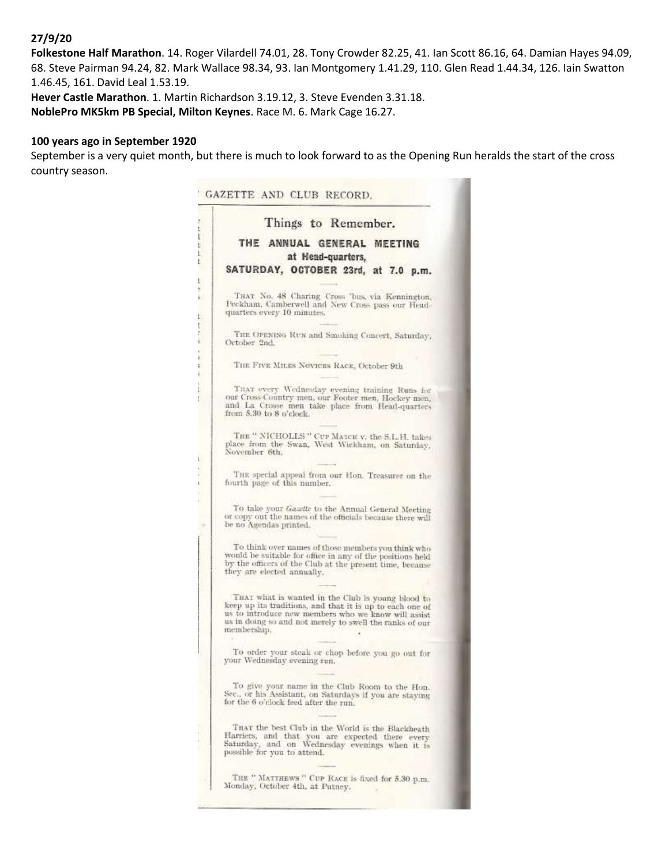### **27/9/20**

**Folkestone Half Marathon**. 14. Roger Vilardell 74.01, 28. Tony Crowder 82.25, 41. Ian Scott 86.16, 64. Damian Hayes 94.09, 68. Steve Pairman 94.24, 82. Mark Wallace 98.34, 93. Ian Montgomery 1.41.29, 110. Glen Read 1.44.34, 126. Iain Swatton 1.46.45, 161. David Leal 1.53.19.

**Hever Castle Marathon**. 1. Martin Richardson 3.19.12, 3. Steve Evenden 3.31.18. **NoblePro MK5km PB Special, Milton Keynes**. Race M. 6. Mark Cage 16.27.

#### **100 years ago in September 1920**

September is a very quiet month, but there is much to look forward to as the Opening Run heralds the start of the cross country season.

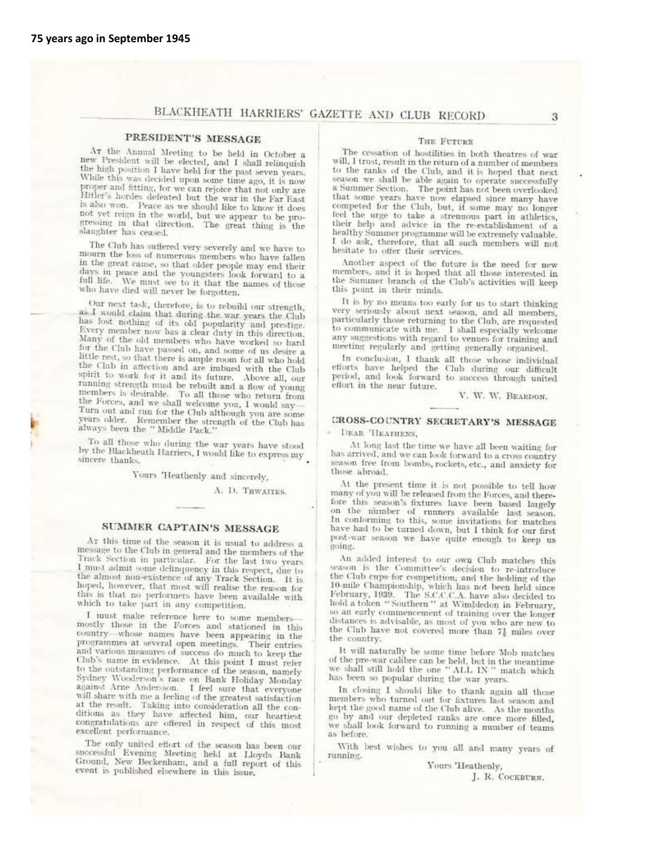# BLACKHEATH HARRIERS' GAZETTE AND CLUB RECORD

#### PRESIDENT'S MESSAGE

Ar the Annual Meeting to be held in October a new President will be elected, and I shall relinquish the high position I have held for the past seven years. While this was decided upon some time ago, it is now proper and fitting, for we can rejoice that not only are Hitler's hordes defeated but the war in the Far East is also won. Peace as we should like to know it does not yet reign in the world, but we appear to be progressing in that direction. The great thing is the slaughter has ceased.

The Club has suffered very severely and we have to mourn the loss of numerous members who have fallen in the great cause, so that older people may end their days in peace and the youngsters look forward to a<br>full life. We must see to it that the names of those<br>who have disclosed with the names of those who have died will never be forgotten.

Our next task, therefore, is to rebuild our strength, as I would claim that during the war years the Club has lost nothing of its old popularity and prestige.<br>Every member now has a clear duty in this direction. Many of the old members who have worked so hard for the Club have passed on, and some of us desire a little rest, so that there is ample room for all who hold<br>the Club in affection and are imbued with the Club<br>spirit to work for it and are imbued with the Club spirit to work for it and its future. Above all, our spurt to work for it and its future. Above all, our<br>running strength must be rebuilt and a flow of young<br>members is desirable. To all those who return from<br>the Forces, and we shall welcome you, I would say<br>Turn out and run Turn out and run for the Club although you are some<br>years older. Remember the strength of the Club has<br>always been the "Middle bestength of the Club has always been the " Middle Pack."

To all those who during the war years have stood Fo an those who during the war years have stood<br>by the Blackheath Harriers, I would like to express my<br>sincere thanks. sincere thanks.

Yours 'Heathenly and sincerely,

A. D. THWAITES.

#### SUMMER CAPTAIN'S MESSAGE

At this time of the season it is usual to address a message to the Club in general and the members of the Track Section in particular. For the last two years I must admit some delinquency in this respect, due to<br>the almost non-existence of any Track Section. It is<br>the almost non-existence of any Track Section. It is<br>hoped, however, that most will realise the reason for this is that no performers have been available with<br>which to take part in any competition.

I must make reference here to some membersmostly those in the Forces and stationed in this country-whose names have been appearing in the programmes at several open meetings. Their entries and various measures of success do much to keep the and various measures of success do much to keep the<br>Club's name in evidence. At this point I must refer<br>to the outstanding performance of the season, namely<br>Sedney Wooderson's no Both H-MM. Sydney Wooderson's race on Bank Holiday Monday against Arne Andersson. I feel sure that everyone<br>will share with me a feeling of the greatest satisfaction at the result. Taking into consideration all the conditions as they have affected him, our heartiest congratulations are offered in respect of this most excellent performance.

The only united effort of the season has been our<br>successful Evening Meeting held at Lloyds Bank Ground, New Beckenham, and a full report of this event is published elsewhere in this issue.

#### THE FUTURE

The cessation of hostilities in both theatres of war will, I trust, result in the return of a number of members to the ranks of the Club, and it is hoped that next season we shall be able again to operate successfully<br>a Summer Section. The point has not been overlooked a bat some years have now elapsed since many have<br>that some years have now elapsed since many have competed for the Club, but, if some may no longer feel the urge to take a strenuous part in athletics, their help and advice in the re-establishment of a healthy Summer programme will be extremely valuable. I do ask, therefore, that all such members will not hesitate to offer their services.

Another aspect of the future is the need for new embers, and it is hoped that all those interested in<br>the Summer branch of the Club's activities will keep<br>the Summer branch of the Club's activities will keep this point in their minds.

It is by no means too early for us to start thinking It is by no means too early for us to start thinking<br>very seriously about next season, and all members,<br>particularly those returning to the Club, are requested<br>to communicate with me. I shall especially welcome<br>any suggest meeting regularly and getting generally organised.

In conclusion, I thank all those whose individual<br>efforts have helped the Club during our difficult<br>period, and look forward to success through united effort in the near future.

V. W. W. BEARDON.

#### CROSS-COUNTRY SECRETARY'S MESSAGE

DEAR 'HEATHENS,

At long last the time we have all been waiting for has arrived, and we can look forward to a cross country season free from bombs, rockets, etc., and anxiety for those abroad.

At the present time it is not possible to tell how many of you will be released from the Forces, and therefore this season's fixtures have been based largely on the number of runners available last season.<br>In conforming to this season, on the number of runners available last season.<br>In conforming to this, some invitations for matches<br>bave had to be turned down, but I think for our first post-war season we have quite enough to keep us mine.

An added interest to our own Club matches this season is the Committee's decision to re-introduce the Club cups for competition, and the holding of the the Ciub cups for competition, and the holding of the<br>10-mile Championship, which has not been held since<br>February, 1939. The S.C.C.C.A. have also decided to<br>hold a token "Southern" at Wimbledon in February, so an early commencement of training over the longer distances is advisable, as most of you who are new to the Club have not covered more than 71 miles over the country.

It will naturally be some time before Mob matches of the pre-war calibre can be held, but in the meantime<br>we shall still hold the one "ALL IN " match which has been so popular during the war years.

In closing I should like to thank again all those members who turned out for fixtures last season and kept the good name of the Club alive. As the months go by and our depleted ranks are once more filled, we shall look forward to running a number of teams as before.

With best wishes to you all and many years of running.

Yours 'Heathenly,

J. R. COCKBURN.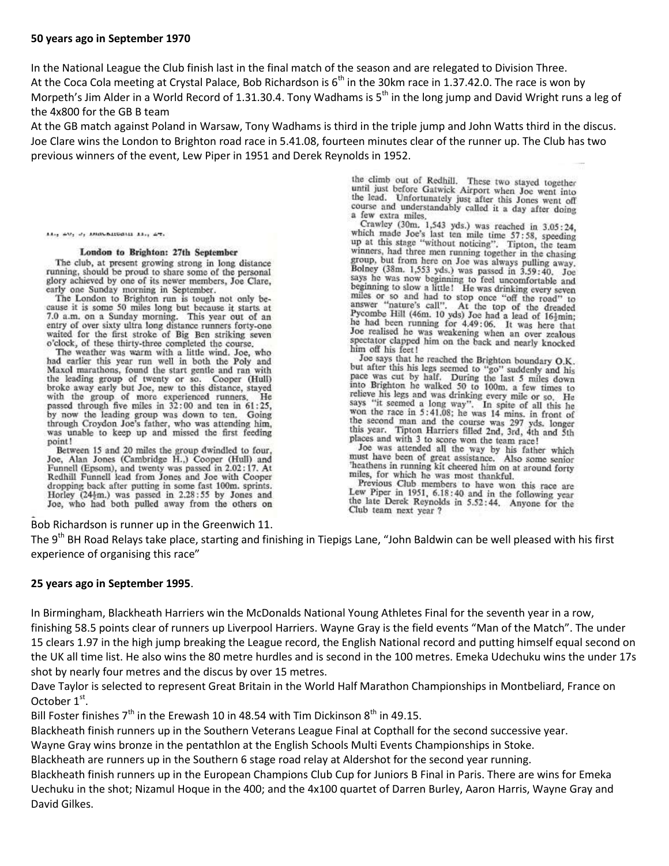### **50 years ago in September 1970**

In the National League the Club finish last in the final match of the season and are relegated to Division Three. At the Coca Cola meeting at Crystal Palace, Bob Richardson is  $6<sup>th</sup>$  in the 30km race in 1.37.42.0. The race is won by Morpeth's Jim Alder in a World Record of 1.31.30.4. Tony Wadhams is  $5<sup>th</sup>$  in the long jump and David Wright runs a leg of the 4x800 for the GB B team

At the GB match against Poland in Warsaw, Tony Wadhams is third in the triple jump and John Watts third in the discus. Joe Clare wins the London to Brighton road race in 5.41.08, fourteen minutes clear of the runner up. The Club has two previous winners of the event, Lew Piper in 1951 and Derek Reynolds in 1952.

> the climb out of Redhill. These two stayed together until just before Gatwick Airport when Joe went into the lead. Unfortunately just after this Jones went off course and understandably called it a day after doing a few extra miles.

Crawley (30m. 1,543 yds.) was reached in 3.05:24. viawiey (30m. 1,343 yds.) was reached in 3.05:24,<br>which made Joe's last ten mile time 57:58, speeding<br>up at this stage "without noticine." up at this stage "without noticing". Tipton, the team winners, had three men running together in the chasing group, but from here on Joe was always pulling away.<br>Bolney (38m, 1,553 yds.) was passed in 3,59:40. Joe says he was now beginning to feel uncomfortable and<br>beginning to slow a little! He was drinking every seven<br>beginning to slow a little! He was drinking every seven miles or so and had to stop once "off the road" to<br>answer "nature's call". At the top of the dreaded<br>appropriate and the condition of the dreaded<br>Pycombe Hill (46m. 10 yds) Joe had a lead of 16<sup>1</sup>min;<br>he had been running f he had been running for 4.49:06. It was here that Joe realised he was weakening when an over zealous spectator clapped him on the back and nearly knocked him off his feet!

Joe says that he reached the Brighton boundary O.K. Joe says that he reached the Brighton boundary O.K.<br>but after this his legs scened to "go" suddenly and his<br>pace was cut by half. During the last 5 miles down<br>into Brighton he walked 50 to 100m, a few times to<br>relieve his the second man and the course was 297 yds. longer<br>this year. Tipton Harriers filled 2nd, 3rd, 4th and 5th places and with 3 to score won the team race!

Joe was attended all the way by his father which must have been of great assistance. Also some senior heathens in running kit cheered him on at around forty miles, for which he was most thankful.

Previous Club members to have won this race are Lew Piper in 1951, 6.18:40 and in the following year the late Derek Reynolds in 5.52:44. Anyone for the Club team next year ?

 $M_{11}$  av,  $J_1$  inductional  $M_{11}$  at,

#### London to Brighton: 27th September

The club, at present growing strong in long distance running, should be proud to share some of the personal glory achieved by one of its newer members, Joe Clare,

early attacked by one of its newer intenders, Joe Clare,<br>
rate London to Brighton run is tough not only be-<br>
The London to Brighton run is tough not only be-<br>
cause it is some 50 miles long but because it starts at<br>
7.0 a 7.0 a.m. on a Sunday morning. This year out of an entry of over sixty ultra long distance runners forty-one waited for the first stroke of Big Ben striking seven o'clock, of these thirty-three completed the course.

The weather was warm with a little wind. Joe, who had earlier this year run well in both the Poly and Maxol marathons, found the start gentle and ran with the leading group of twenty or so. Cooper (Hull) broke away early but Joe, new to this distance, stayed with the group of more experienced runners. He passed through five miles in 32:00 and ten in 61:25, by now the leading group was down to ten. Going through Croydon Joe's father, who was attending him, was unable to keep up and missed the first feeding point!

Between 15 and 20 miles the group dwindled to four, Joe, Alan Jones (Cambridge H.,) Cooper (Hull) and Funnell (Epsom), and twenty was passed in 2.02:17. At Redhill Funnell lead from Jones and Joe with Cooper Account Functional and the putting in some fast 100m, sprints.<br>Horley (24<sup>1</sup>m.) was passed in 2.28:55 by Jones and Joe, who had both pulled away from the others on

Bob Richardson is runner up in the Greenwich 11.

The 9<sup>th</sup> BH Road Relays take place, starting and finishing in Tiepigs Lane, "John Baldwin can be well pleased with his first experience of organising this race"

### **25 years ago in September 1995**.

In Birmingham, Blackheath Harriers win the McDonalds National Young Athletes Final for the seventh year in a row, finishing 58.5 points clear of runners up Liverpool Harriers. Wayne Gray is the field events "Man of the Match". The under 15 clears 1.97 in the high jump breaking the League record, the English National record and putting himself equal second on the UK all time list. He also wins the 80 metre hurdles and is second in the 100 metres. Emeka Udechuku wins the under 17s shot by nearly four metres and the discus by over 15 metres.

Dave Taylor is selected to represent Great Britain in the World Half Marathon Championships in Montbeliard, France on October  $1<sup>st</sup>$ .

Bill Foster finishes  $7<sup>th</sup>$  in the Erewash 10 in 48.54 with Tim Dickinson  $8<sup>th</sup>$  in 49.15.

Blackheath finish runners up in the Southern Veterans League Final at Copthall for the second successive year.

Wayne Gray wins bronze in the pentathlon at the English Schools Multi Events Championships in Stoke.

Blackheath are runners up in the Southern 6 stage road relay at Aldershot for the second year running.

Blackheath finish runners up in the European Champions Club Cup for Juniors B Final in Paris. There are wins for Emeka Uechuku in the shot; Nizamul Hoque in the 400; and the 4x100 quartet of Darren Burley, Aaron Harris, Wayne Gray and David Gilkes.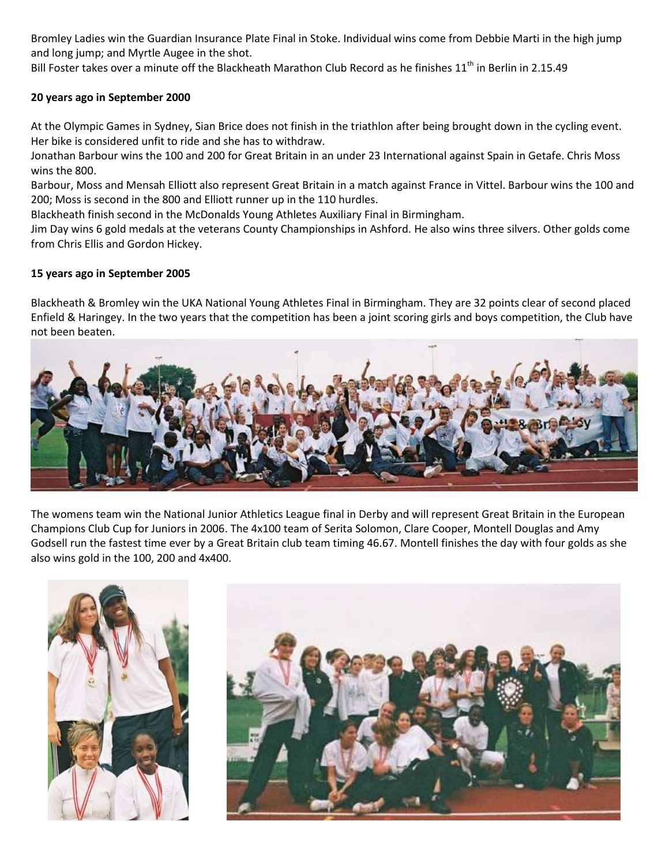Bromley Ladies win the Guardian Insurance Plate Final in Stoke. Individual wins come from Debbie Marti in the high jump and long jump; and Myrtle Augee in the shot.

Bill Foster takes over a minute off the Blackheath Marathon Club Record as he finishes  $11<sup>th</sup>$  in Berlin in 2.15.49

### **20 years ago in September 2000**

At the Olympic Games in Sydney, Sian Brice does not finish in the triathlon after being brought down in the cycling event. Her bike is considered unfit to ride and she has to withdraw.

Jonathan Barbour wins the 100 and 200 for Great Britain in an under 23 International against Spain in Getafe. Chris Moss wins the 800.

Barbour, Moss and Mensah Elliott also represent Great Britain in a match against France in Vittel. Barbour wins the 100 and 200; Moss is second in the 800 and Elliott runner up in the 110 hurdles.

Blackheath finish second in the McDonalds Young Athletes Auxiliary Final in Birmingham.

Jim Day wins 6 gold medals at the veterans County Championships in Ashford. He also wins three silvers. Other golds come from Chris Ellis and Gordon Hickey.

### **15 years ago in September 2005**

Blackheath & Bromley win the UKA National Young Athletes Final in Birmingham. They are 32 points clear of second placed Enfield & Haringey. In the two years that the competition has been a joint scoring girls and boys competition, the Club have not been beaten.



The womens team win the National Junior Athletics League final in Derby and will represent Great Britain in the European Champions Club Cup for Juniors in 2006. The 4x100 team of Serita Solomon, Clare Cooper, Montell Douglas and Amy Godsell run the fastest time ever by a Great Britain club team timing 46.67. Montell finishes the day with four golds as she also wins gold in the 100, 200 and 4x400.